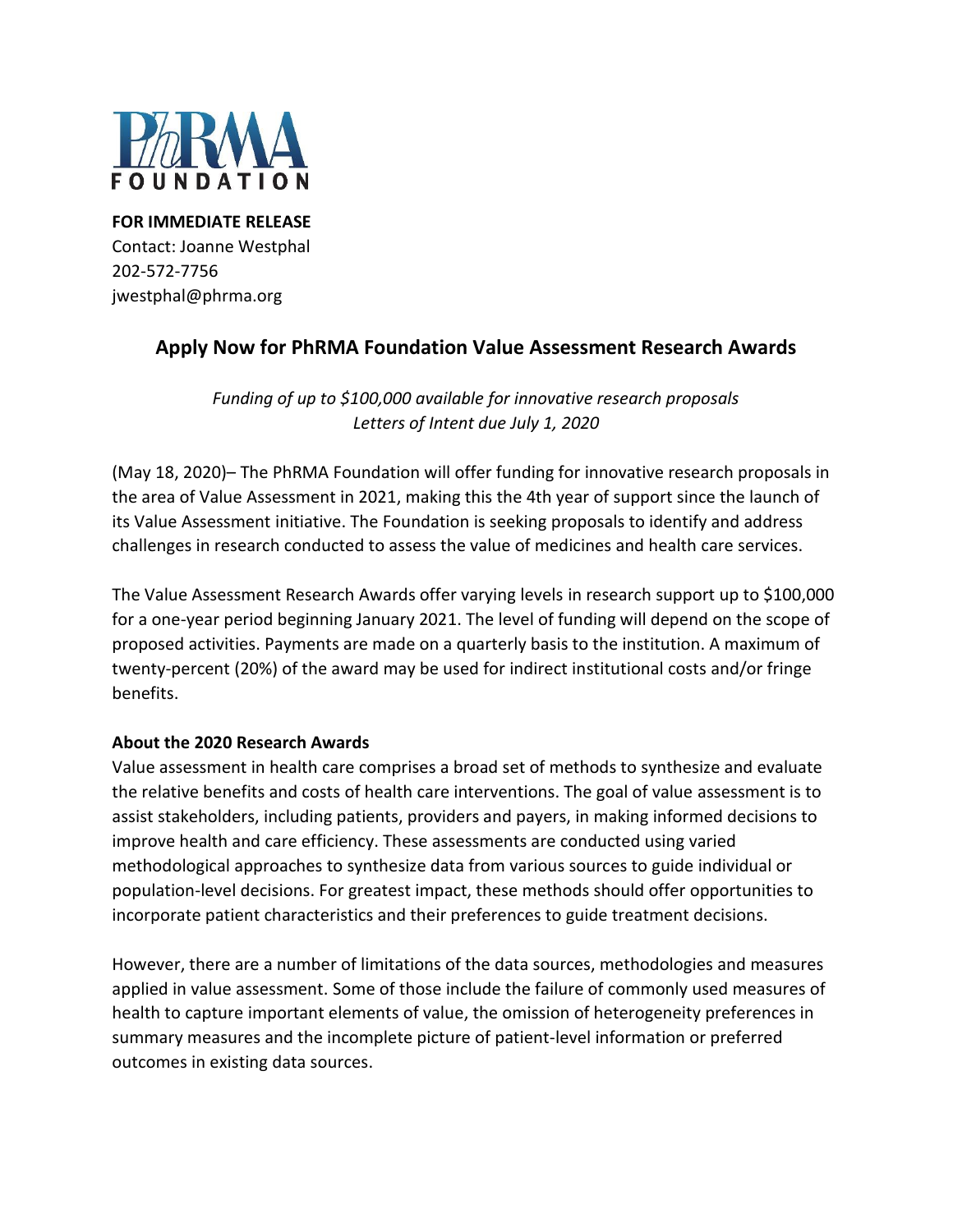

**FOR IMMEDIATE RELEASE** Contact: Joanne Westphal 202-572-7756 jwestphal@phrma.org

# **Apply Now for PhRMA Foundation Value Assessment Research Awards**

*Funding of up to \$100,000 available for innovative research proposals Letters of Intent due July 1, 2020*

(May 18, 2020)– The PhRMA Foundation will offer funding for innovative research proposals in the area of Value Assessment in 2021, making this the 4th year of support since the launch of its Value Assessment initiative. The Foundation is seeking proposals to identify and address challenges in research conducted to assess the value of medicines and health care services.

The Value Assessment Research Awards offer varying levels in research support up to \$100,000 for a one-year period beginning January 2021. The level of funding will depend on the scope of proposed activities. Payments are made on a quarterly basis to the institution. A maximum of twenty-percent (20%) of the award may be used for indirect institutional costs and/or fringe benefits.

## **About the 2020 Research Awards**

Value assessment in health care comprises a broad set of methods to synthesize and evaluate the relative benefits and costs of health care interventions. The goal of value assessment is to assist stakeholders, including patients, providers and payers, in making informed decisions to improve health and care efficiency. These assessments are conducted using varied methodological approaches to synthesize data from various sources to guide individual or population-level decisions. For greatest impact, these methods should offer opportunities to incorporate patient characteristics and their preferences to guide treatment decisions.

However, there are a number of limitations of the data sources, methodologies and measures applied in value assessment. Some of those include the failure of commonly used measures of health to capture important elements of value, the omission of heterogeneity preferences in summary measures and the incomplete picture of patient-level information or preferred outcomes in existing data sources.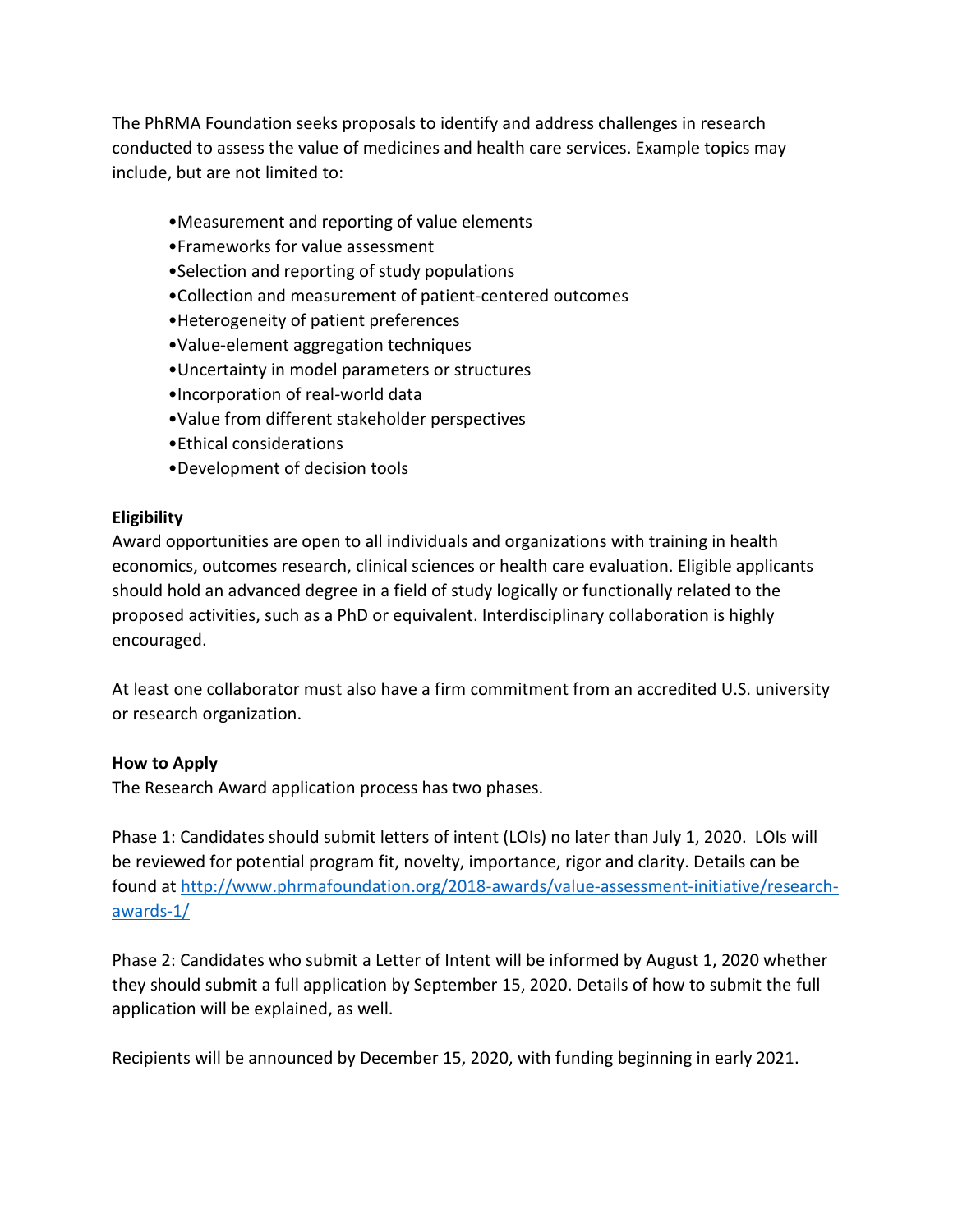The PhRMA Foundation seeks proposals to identify and address challenges in research conducted to assess the value of medicines and health care services. Example topics may include, but are not limited to:

- •Measurement and reporting of value elements
- •Frameworks for value assessment
- •Selection and reporting of study populations
- •Collection and measurement of patient-centered outcomes
- •Heterogeneity of patient preferences
- •Value-element aggregation techniques
- •Uncertainty in model parameters or structures
- •Incorporation of real-world data
- •Value from different stakeholder perspectives
- •Ethical considerations
- •Development of decision tools

#### **Eligibility**

Award opportunities are open to all individuals and organizations with training in health economics, outcomes research, clinical sciences or health care evaluation. Eligible applicants should hold an advanced degree in a field of study logically or functionally related to the proposed activities, such as a PhD or equivalent. Interdisciplinary collaboration is highly encouraged.

At least one collaborator must also have a firm commitment from an accredited U.S. university or research organization.

#### **How to Apply**

The Research Award application process has two phases.

Phase 1: Candidates should submit letters of intent (LOIs) no later than July 1, 2020. LOIs will be reviewed for potential program fit, novelty, importance, rigor and clarity. Details can be found at [http://www.phrmafoundation.org/2018-awards/value-assessment-initiative/research](http://www.phrmafoundation.org/2018-awards/value-assessment-initiative/research-awards-1/)[awards-1/](http://www.phrmafoundation.org/2018-awards/value-assessment-initiative/research-awards-1/)

Phase 2: Candidates who submit a Letter of Intent will be informed by August 1, 2020 whether they should submit a full application by September 15, 2020. Details of how to submit the full application will be explained, as well.

Recipients will be announced by December 15, 2020, with funding beginning in early 2021.